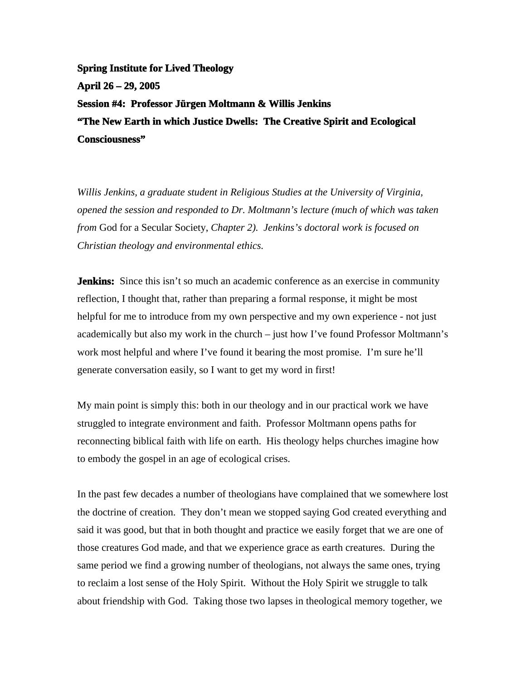**Spring Institute for Lived Theology April 26 – 29, 2005 Session #4: Professor Jürgen Moltmann & Willis Jenkins "The New Earth in which Justice Dwells: The Creative Spirit and Ecological Consciousness"**

*Willis Jenkins, a graduate student in Religious Studies at the University of Virginia, opened the session and responded to Dr. Moltmann's lecture (much of which was taken from* God for a Secular Society, *Chapter 2). Jenkins's doctoral work is focused on Christian theology and environmental ethics.*

**Jenkins:** Since this isn't so much an academic conference as an exercise in community reflection, I thought that, rather than preparing a formal response, it might be most helpful for me to introduce from my own perspective and my own experience - not just academically but also my work in the church – just how I've found Professor Moltmann's work most helpful and where I've found it bearing the most promise. I'm sure he'll generate conversation easily, so I want to get my word in first!

My main point is simply this: both in our theology and in our practical work we have struggled to integrate environment and faith. Professor Moltmann opens paths for reconnecting biblical faith with life on earth. His theology helps churches imagine how to embody the gospel in an age of ecological crises.

In the past few decades a number of theologians have complained that we somewhere lost the doctrine of creation. They don't mean we stopped saying God created everything and said it was good, but that in both thought and practice we easily forget that we are one of those creatures God made, and that we experience grace as earth creatures. During the same period we find a growing number of theologians, not always the same ones, trying to reclaim a lost sense of the Holy Spirit. Without the Holy Spirit we struggle to talk about friendship with God. Taking those two lapses in theological memory together, we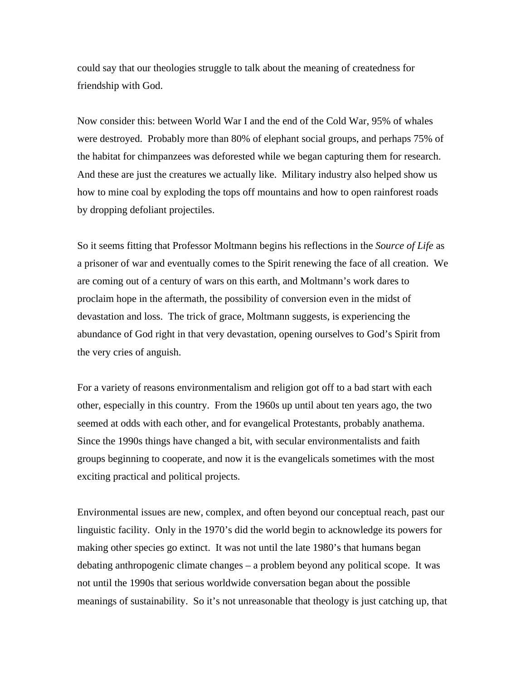could say that our theologies struggle to talk about the meaning of createdness for friendship with God.

Now consider this: between World War I and the end of the Cold War, 95% of whales were destroyed. Probably more than 80% of elephant social groups, and perhaps 75% of the habitat for chimpanzees was deforested while we began capturing them for research. And these are just the creatures we actually like. Military industry also helped show us how to mine coal by exploding the tops off mountains and how to open rainforest roads by dropping defoliant projectiles.

So it seems fitting that Professor Moltmann begins his reflections in the *Source of Life* as a prisoner of war and eventually comes to the Spirit renewing the face of all creation. We are coming out of a century of wars on this earth, and Moltmann's work dares to proclaim hope in the aftermath, the possibility of conversion even in the midst of devastation and loss. The trick of grace, Moltmann suggests, is experiencing the abundance of God right in that very devastation, opening ourselves to God's Spirit from the very cries of anguish.

For a variety of reasons environmentalism and religion got off to a bad start with each other, especially in this country. From the 1960s up until about ten years ago, the two seemed at odds with each other, and for evangelical Protestants, probably anathema. Since the 1990s things have changed a bit, with secular environmentalists and faith groups beginning to cooperate, and now it is the evangelicals sometimes with the most exciting practical and political projects.

Environmental issues are new, complex, and often beyond our conceptual reach, past our linguistic facility. Only in the 1970's did the world begin to acknowledge its powers for making other species go extinct. It was not until the late 1980's that humans began debating anthropogenic climate changes – a problem beyond any political scope. It was not until the 1990s that serious worldwide conversation began about the possible meanings of sustainability. So it's not unreasonable that theology is just catching up, that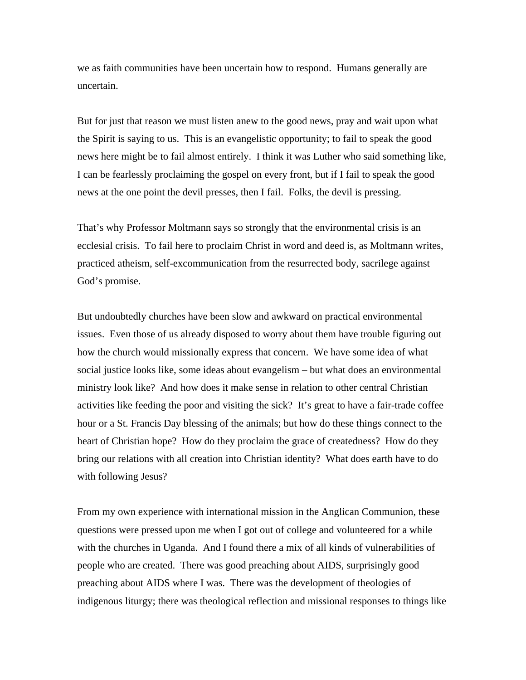we as faith communities have been uncertain how to respond. Humans generally are uncertain.

But for just that reason we must listen anew to the good news, pray and wait upon what the Spirit is saying to us. This is an evangelistic opportunity; to fail to speak the good news here might be to fail almost entirely. I think it was Luther who said something like, I can be fearlessly proclaiming the gospel on every front, but if I fail to speak the good news at the one point the devil presses, then I fail. Folks, the devil is pressing.

That's why Professor Moltmann says so strongly that the environmental crisis is an ecclesial crisis. To fail here to proclaim Christ in word and deed is, as Moltmann writes, practiced atheism, self-excommunication from the resurrected body, sacrilege against God's promise.

But undoubtedly churches have been slow and awkward on practical environmental issues. Even those of us already disposed to worry about them have trouble figuring out how the church would missionally express that concern. We have some idea of what social justice looks like, some ideas about evangelism – but what does an environmental ministry look like? And how does it make sense in relation to other central Christian activities like feeding the poor and visiting the sick? It's great to have a fair-trade coffee hour or a St. Francis Day blessing of the animals; but how do these things connect to the heart of Christian hope? How do they proclaim the grace of createdness? How do they bring our relations with all creation into Christian identity? What does earth have to do with following Jesus?

From my own experience with international mission in the Anglican Communion, these questions were pressed upon me when I got out of college and volunteered for a while with the churches in Uganda. And I found there a mix of all kinds of vulnerabilities of people who are created. There was good preaching about AIDS, surprisingly good preaching about AIDS where I was. There was the development of theologies of indigenous liturgy; there was theological reflection and missional responses to things like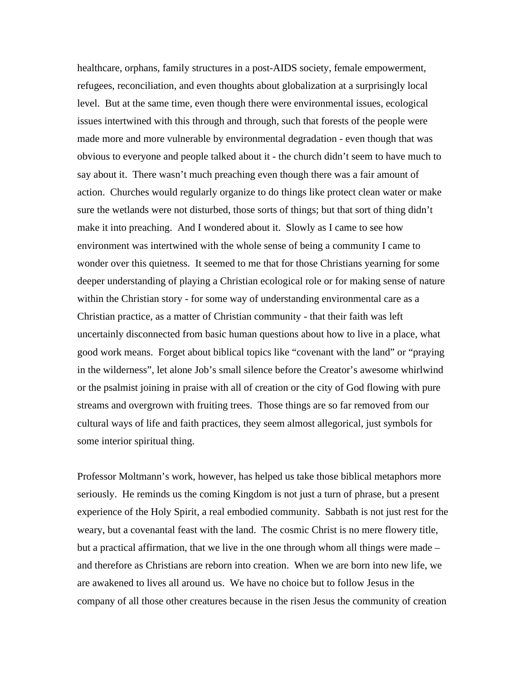healthcare, orphans, family structures in a post-AIDS society, female empowerment, refugees, reconciliation, and even thoughts about globalization at a surprisingly local level. But at the same time, even though there were environmental issues, ecological issues intertwined with this through and through, such that forests of the people were made more and more vulnerable by environmental degradation - even though that was obvious to everyone and people talked about it - the church didn't seem to have much to say about it. There wasn't much preaching even though there was a fair amount of action. Churches would regularly organize to do things like protect clean water or make sure the wetlands were not disturbed, those sorts of things; but that sort of thing didn't make it into preaching. And I wondered about it. Slowly as I came to see how environment was intertwined with the whole sense of being a community I came to wonder over this quietness. It seemed to me that for those Christians yearning for some deeper understanding of playing a Christian ecological role or for making sense of nature within the Christian story - for some way of understanding environmental care as a Christian practice, as a matter of Christian community - that their faith was left uncertainly disconnected from basic human questions about how to live in a place, what good work means. Forget about biblical topics like "covenant with the land" or "praying in the wilderness", let alone Job's small silence before the Creator's awesome whirlwind or the psalmist joining in praise with all of creation or the city of God flowing with pure streams and overgrown with fruiting trees. Those things are so far removed from our cultural ways of life and faith practices, they seem almost allegorical, just symbols for some interior spiritual thing.

Professor Moltmann's work, however, has helped us take those biblical metaphors more seriously. He reminds us the coming Kingdom is not just a turn of phrase, but a present experience of the Holy Spirit, a real embodied community. Sabbath is not just rest for the weary, but a covenantal feast with the land. The cosmic Christ is no mere flowery title, but a practical affirmation, that we live in the one through whom all things were made – and therefore as Christians are reborn into creation. When we are born into new life, we are awakened to lives all around us. We have no choice but to follow Jesus in the company of all those other creatures because in the risen Jesus the community of creation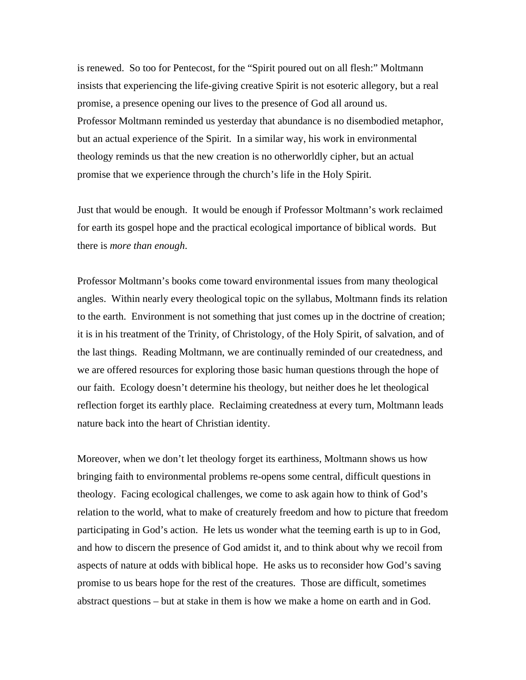is renewed. So too for Pentecost, for the "Spirit poured out on all flesh:" Moltmann insists that experiencing the life-giving creative Spirit is not esoteric allegory, but a real promise, a presence opening our lives to the presence of God all around us. Professor Moltmann reminded us yesterday that abundance is no disembodied metaphor, but an actual experience of the Spirit. In a similar way, his work in environmental theology reminds us that the new creation is no otherworldly cipher, but an actual promise that we experience through the church's life in the Holy Spirit.

Just that would be enough. It would be enough if Professor Moltmann's work reclaimed for earth its gospel hope and the practical ecological importance of biblical words. But there is *more than enough*.

Professor Moltmann's books come toward environmental issues from many theological angles. Within nearly every theological topic on the syllabus, Moltmann finds its relation to the earth. Environment is not something that just comes up in the doctrine of creation; it is in his treatment of the Trinity, of Christology, of the Holy Spirit, of salvation, and of the last things. Reading Moltmann, we are continually reminded of our createdness, and we are offered resources for exploring those basic human questions through the hope of our faith. Ecology doesn't determine his theology, but neither does he let theological reflection forget its earthly place. Reclaiming createdness at every turn, Moltmann leads nature back into the heart of Christian identity.

Moreover, when we don't let theology forget its earthiness, Moltmann shows us how bringing faith to environmental problems re-opens some central, difficult questions in theology. Facing ecological challenges, we come to ask again how to think of God's relation to the world, what to make of creaturely freedom and how to picture that freedom participating in God's action. He lets us wonder what the teeming earth is up to in God, and how to discern the presence of God amidst it, and to think about why we recoil from aspects of nature at odds with biblical hope. He asks us to reconsider how God's saving promise to us bears hope for the rest of the creatures. Those are difficult, sometimes abstract questions – but at stake in them is how we make a home on earth and in God.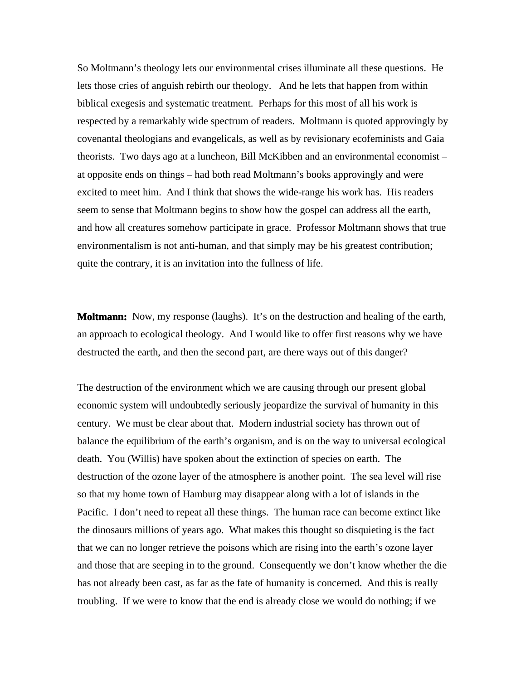So Moltmann's theology lets our environmental crises illuminate all these questions. He lets those cries of anguish rebirth our theology. And he lets that happen from within biblical exegesis and systematic treatment. Perhaps for this most of all his work is respected by a remarkably wide spectrum of readers. Moltmann is quoted approvingly by covenantal theologians and evangelicals, as well as by revisionary ecofeminists and Gaia theorists. Two days ago at a luncheon, Bill McKibben and an environmental economist – at opposite ends on things – had both read Moltmann's books approvingly and were excited to meet him. And I think that shows the wide-range his work has. His readers seem to sense that Moltmann begins to show how the gospel can address all the earth, and how all creatures somehow participate in grace. Professor Moltmann shows that true environmentalism is not anti-human, and that simply may be his greatest contribution; quite the contrary, it is an invitation into the fullness of life.

**Moltmann:** Now, my response (laughs). It's on the destruction and healing of the earth, an approach to ecological theology. And I would like to offer first reasons why we have destructed the earth, and then the second part, are there ways out of this danger?

The destruction of the environment which we are causing through our present global economic system will undoubtedly seriously jeopardize the survival of humanity in this century. We must be clear about that. Modern industrial society has thrown out of balance the equilibrium of the earth's organism, and is on the way to universal ecological death. You (Willis) have spoken about the extinction of species on earth. The destruction of the ozone layer of the atmosphere is another point. The sea level will rise so that my home town of Hamburg may disappear along with a lot of islands in the Pacific. I don't need to repeat all these things. The human race can become extinct like the dinosaurs millions of years ago. What makes this thought so disquieting is the fact that we can no longer retrieve the poisons which are rising into the earth's ozone layer and those that are seeping in to the ground. Consequently we don't know whether the die has not already been cast, as far as the fate of humanity is concerned. And this is really troubling. If we were to know that the end is already close we would do nothing; if we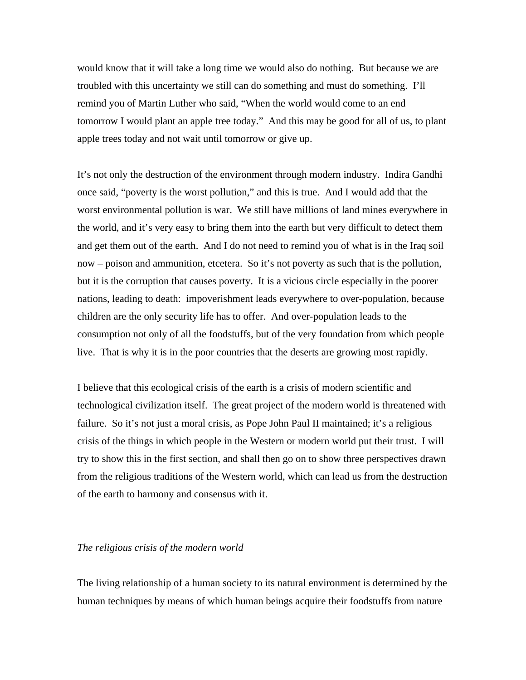would know that it will take a long time we would also do nothing. But because we are troubled with this uncertainty we still can do something and must do something. I'll remind you of Martin Luther who said, "When the world would come to an end tomorrow I would plant an apple tree today." And this may be good for all of us, to plant apple trees today and not wait until tomorrow or give up.

It's not only the destruction of the environment through modern industry. Indira Gandhi once said, "poverty is the worst pollution," and this is true. And I would add that the worst environmental pollution is war. We still have millions of land mines everywhere in the world, and it's very easy to bring them into the earth but very difficult to detect them and get them out of the earth. And I do not need to remind you of what is in the Iraq soil now – poison and ammunition, etcetera. So it's not poverty as such that is the pollution, but it is the corruption that causes poverty. It is a vicious circle especially in the poorer nations, leading to death: impoverishment leads everywhere to over-population, because children are the only security life has to offer. And over-population leads to the consumption not only of all the foodstuffs, but of the very foundation from which people live. That is why it is in the poor countries that the deserts are growing most rapidly.

I believe that this ecological crisis of the earth is a crisis of modern scientific and technological civilization itself. The great project of the modern world is threatened with failure. So it's not just a moral crisis, as Pope John Paul II maintained; it's a religious crisis of the things in which people in the Western or modern world put their trust. I will try to show this in the first section, and shall then go on to show three perspectives drawn from the religious traditions of the Western world, which can lead us from the destruction of the earth to harmony and consensus with it.

## *The religious crisis of the modern world*

The living relationship of a human society to its natural environment is determined by the human techniques by means of which human beings acquire their foodstuffs from nature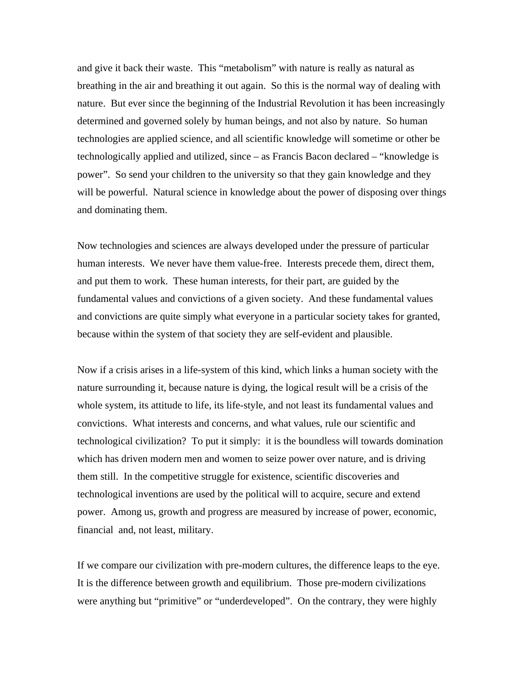and give it back their waste. This "metabolism" with nature is really as natural as breathing in the air and breathing it out again. So this is the normal way of dealing with nature. But ever since the beginning of the Industrial Revolution it has been increasingly determined and governed solely by human beings, and not also by nature. So human technologies are applied science, and all scientific knowledge will sometime or other be technologically applied and utilized, since – as Francis Bacon declared – "knowledge is power". So send your children to the university so that they gain knowledge and they will be powerful. Natural science in knowledge about the power of disposing over things and dominating them.

Now technologies and sciences are always developed under the pressure of particular human interests. We never have them value-free. Interests precede them, direct them, and put them to work. These human interests, for their part, are guided by the fundamental values and convictions of a given society. And these fundamental values and convictions are quite simply what everyone in a particular society takes for granted, because within the system of that society they are self-evident and plausible.

Now if a crisis arises in a life-system of this kind, which links a human society with the nature surrounding it, because nature is dying, the logical result will be a crisis of the whole system, its attitude to life, its life-style, and not least its fundamental values and convictions. What interests and concerns, and what values, rule our scientific and technological civilization? To put it simply: it is the boundless will towards domination which has driven modern men and women to seize power over nature, and is driving them still. In the competitive struggle for existence, scientific discoveries and technological inventions are used by the political will to acquire, secure and extend power. Among us, growth and progress are measured by increase of power, economic, financial and, not least, military.

If we compare our civilization with pre-modern cultures, the difference leaps to the eye. It is the difference between growth and equilibrium. Those pre-modern civilizations were anything but "primitive" or "underdeveloped". On the contrary, they were highly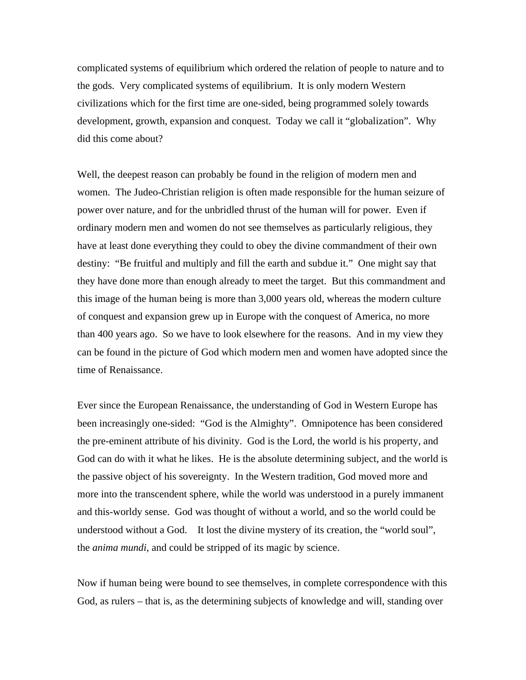complicated systems of equilibrium which ordered the relation of people to nature and to the gods. Very complicated systems of equilibrium. It is only modern Western civilizations which for the first time are one-sided, being programmed solely towards development, growth, expansion and conquest. Today we call it "globalization". Why did this come about?

Well, the deepest reason can probably be found in the religion of modern men and women. The Judeo-Christian religion is often made responsible for the human seizure of power over nature, and for the unbridled thrust of the human will for power. Even if ordinary modern men and women do not see themselves as particularly religious, they have at least done everything they could to obey the divine commandment of their own destiny: "Be fruitful and multiply and fill the earth and subdue it." One might say that they have done more than enough already to meet the target. But this commandment and this image of the human being is more than 3,000 years old, whereas the modern culture of conquest and expansion grew up in Europe with the conquest of America, no more than 400 years ago. So we have to look elsewhere for the reasons. And in my view they can be found in the picture of God which modern men and women have adopted since the time of Renaissance.

Ever since the European Renaissance, the understanding of God in Western Europe has been increasingly one-sided: "God is the Almighty". Omnipotence has been considered the pre-eminent attribute of his divinity. God is the Lord, the world is his property, and God can do with it what he likes. He is the absolute determining subject, and the world is the passive object of his sovereignty. In the Western tradition, God moved more and more into the transcendent sphere, while the world was understood in a purely immanent and this-worldy sense. God was thought of without a world, and so the world could be understood without a God. It lost the divine mystery of its creation, the "world soul", the *anima mundi*, and could be stripped of its magic by science.

Now if human being were bound to see themselves, in complete correspondence with this God, as rulers – that is, as the determining subjects of knowledge and will, standing over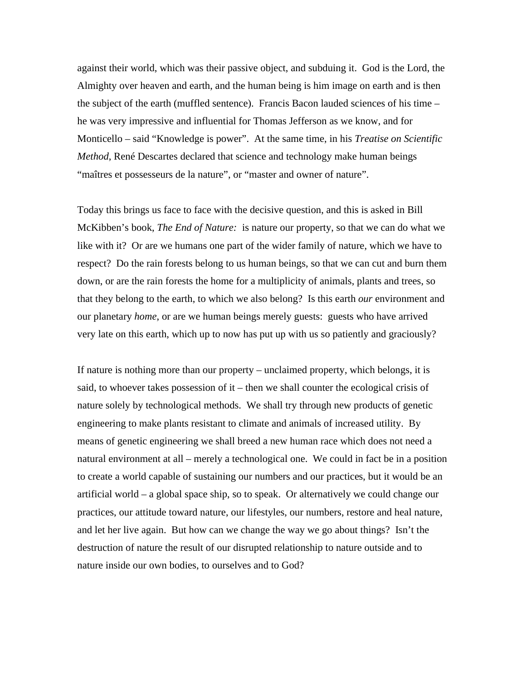against their world, which was their passive object, and subduing it. God is the Lord, the Almighty over heaven and earth, and the human being is him image on earth and is then the subject of the earth (muffled sentence). Francis Bacon lauded sciences of his time – he was very impressive and influential for Thomas Jefferson as we know, and for Monticello – said "Knowledge is power". At the same time, in his *Treatise on Scientific Method*, René Descartes declared that science and technology make human beings "maîtres et possesseurs de la nature", or "master and owner of nature".

Today this brings us face to face with the decisive question, and this is asked in Bill McKibben's book, *The End of Nature:* is nature our property, so that we can do what we like with it? Or are we humans one part of the wider family of nature, which we have to respect? Do the rain forests belong to us human beings, so that we can cut and burn them down, or are the rain forests the home for a multiplicity of animals, plants and trees, so that they belong to the earth, to which we also belong? Is this earth *our* environment and our planetary *home*, or are we human beings merely guests: guests who have arrived very late on this earth, which up to now has put up with us so patiently and graciously?

If nature is nothing more than our property – unclaimed property, which belongs, it is said, to whoever takes possession of it – then we shall counter the ecological crisis of nature solely by technological methods. We shall try through new products of genetic engineering to make plants resistant to climate and animals of increased utility. By means of genetic engineering we shall breed a new human race which does not need a natural environment at all – merely a technological one. We could in fact be in a position to create a world capable of sustaining our numbers and our practices, but it would be an artificial world – a global space ship, so to speak. Or alternatively we could change our practices, our attitude toward nature, our lifestyles, our numbers, restore and heal nature, and let her live again. But how can we change the way we go about things? Isn't the destruction of nature the result of our disrupted relationship to nature outside and to nature inside our own bodies, to ourselves and to God?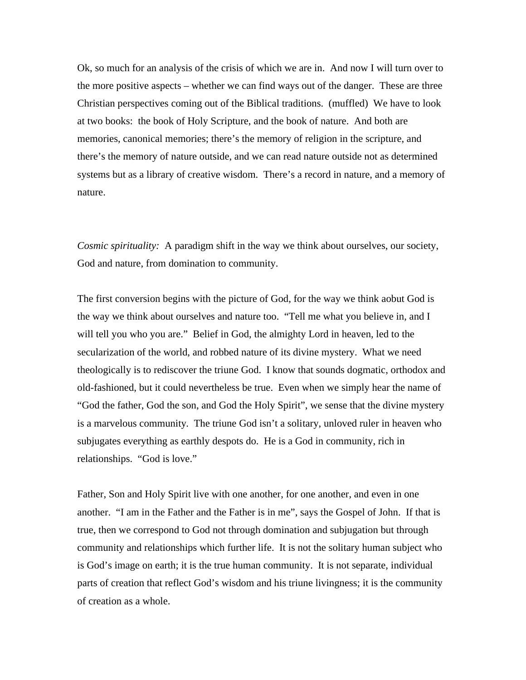Ok, so much for an analysis of the crisis of which we are in. And now I will turn over to the more positive aspects – whether we can find ways out of the danger. These are three Christian perspectives coming out of the Biblical traditions. (muffled) We have to look at two books: the book of Holy Scripture, and the book of nature. And both are memories, canonical memories; there's the memory of religion in the scripture, and there's the memory of nature outside, and we can read nature outside not as determined systems but as a library of creative wisdom. There's a record in nature, and a memory of nature.

*Cosmic spirituality:* A paradigm shift in the way we think about ourselves, our society, God and nature, from domination to community.

The first conversion begins with the picture of God, for the way we think aobut God is the way we think about ourselves and nature too. "Tell me what you believe in, and I will tell you who you are." Belief in God, the almighty Lord in heaven, led to the secularization of the world, and robbed nature of its divine mystery. What we need theologically is to rediscover the triune God. I know that sounds dogmatic, orthodox and old-fashioned, but it could nevertheless be true. Even when we simply hear the name of "God the father, God the son, and God the Holy Spirit", we sense that the divine mystery is a marvelous community. The triune God isn't a solitary, unloved ruler in heaven who subjugates everything as earthly despots do. He is a God in community, rich in relationships. "God is love."

Father, Son and Holy Spirit live with one another, for one another, and even in one another. "I am in the Father and the Father is in me", says the Gospel of John. If that is true, then we correspond to God not through domination and subjugation but through community and relationships which further life. It is not the solitary human subject who is God's image on earth; it is the true human community. It is not separate, individual parts of creation that reflect God's wisdom and his triune livingness; it is the community of creation as a whole.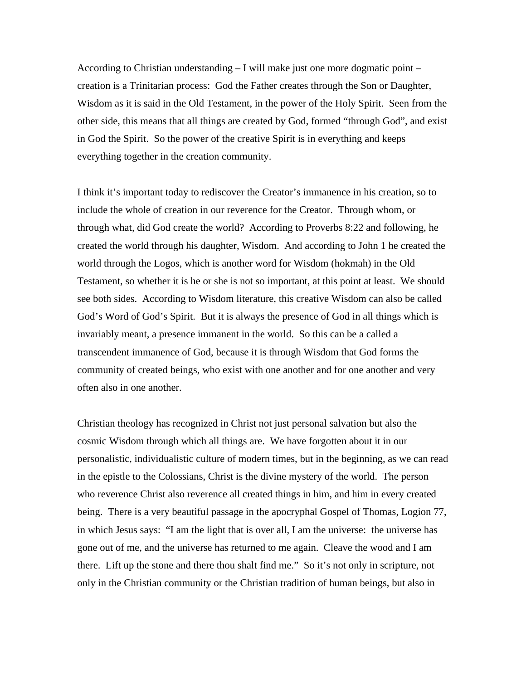According to Christian understanding  $-1$  will make just one more dogmatic point  $$ creation is a Trinitarian process: God the Father creates through the Son or Daughter, Wisdom as it is said in the Old Testament, in the power of the Holy Spirit. Seen from the other side, this means that all things are created by God, formed "through God", and exist in God the Spirit. So the power of the creative Spirit is in everything and keeps everything together in the creation community.

I think it's important today to rediscover the Creator's immanence in his creation, so to include the whole of creation in our reverence for the Creator. Through whom, or through what, did God create the world? According to Proverbs 8:22 and following, he created the world through his daughter, Wisdom. And according to John 1 he created the world through the Logos, which is another word for Wisdom (hokmah) in the Old Testament, so whether it is he or she is not so important, at this point at least. We should see both sides. According to Wisdom literature, this creative Wisdom can also be called God's Word of God's Spirit. But it is always the presence of God in all things which is invariably meant, a presence immanent in the world. So this can be a called a transcendent immanence of God, because it is through Wisdom that God forms the community of created beings, who exist with one another and for one another and very often also in one another.

Christian theology has recognized in Christ not just personal salvation but also the cosmic Wisdom through which all things are. We have forgotten about it in our personalistic, individualistic culture of modern times, but in the beginning, as we can read in the epistle to the Colossians, Christ is the divine mystery of the world. The person who reverence Christ also reverence all created things in him, and him in every created being. There is a very beautiful passage in the apocryphal Gospel of Thomas, Logion 77, in which Jesus says: "I am the light that is over all, I am the universe: the universe has gone out of me, and the universe has returned to me again. Cleave the wood and I am there. Lift up the stone and there thou shalt find me." So it's not only in scripture, not only in the Christian community or the Christian tradition of human beings, but also in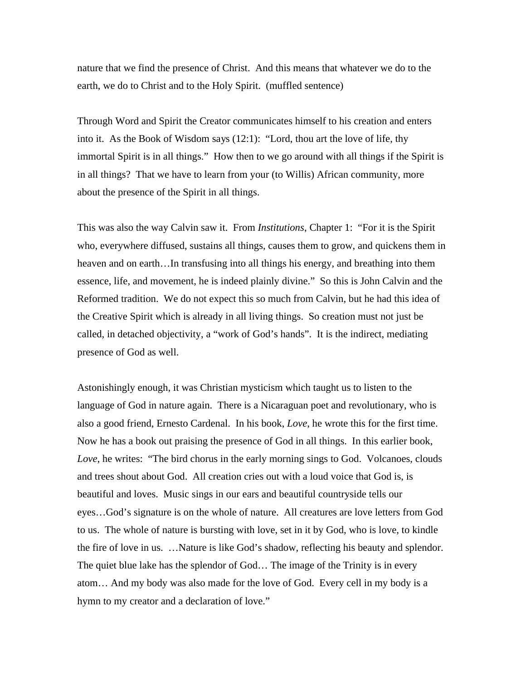nature that we find the presence of Christ. And this means that whatever we do to the earth, we do to Christ and to the Holy Spirit. (muffled sentence)

Through Word and Spirit the Creator communicates himself to his creation and enters into it. As the Book of Wisdom says (12:1): "Lord, thou art the love of life, thy immortal Spirit is in all things." How then to we go around with all things if the Spirit is in all things? That we have to learn from your (to Willis) African community, more about the presence of the Spirit in all things.

This was also the way Calvin saw it. From *Institutions*, Chapter 1: "For it is the Spirit who, everywhere diffused, sustains all things, causes them to grow, and quickens them in heaven and on earth…In transfusing into all things his energy, and breathing into them essence, life, and movement, he is indeed plainly divine." So this is John Calvin and the Reformed tradition. We do not expect this so much from Calvin, but he had this idea of the Creative Spirit which is already in all living things. So creation must not just be called, in detached objectivity, a "work of God's hands". It is the indirect, mediating presence of God as well.

Astonishingly enough, it was Christian mysticism which taught us to listen to the language of God in nature again. There is a Nicaraguan poet and revolutionary, who is also a good friend, Ernesto Cardenal. In his book, *Love*, he wrote this for the first time. Now he has a book out praising the presence of God in all things. In this earlier book, *Love*, he writes: "The bird chorus in the early morning sings to God. Volcanoes, clouds and trees shout about God. All creation cries out with a loud voice that God is, is beautiful and loves. Music sings in our ears and beautiful countryside tells our eyes…God's signature is on the whole of nature. All creatures are love letters from God to us. The whole of nature is bursting with love, set in it by God, who is love, to kindle the fire of love in us. …Nature is like God's shadow, reflecting his beauty and splendor. The quiet blue lake has the splendor of God… The image of the Trinity is in every atom… And my body was also made for the love of God. Every cell in my body is a hymn to my creator and a declaration of love."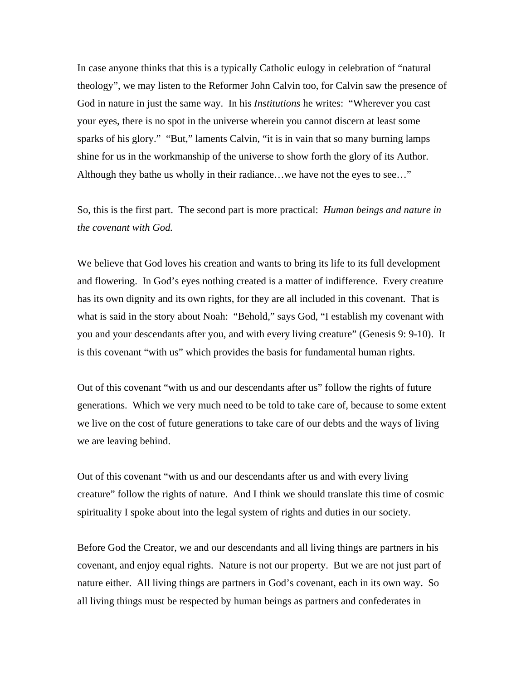In case anyone thinks that this is a typically Catholic eulogy in celebration of "natural theology", we may listen to the Reformer John Calvin too, for Calvin saw the presence of God in nature in just the same way. In his *Institutions* he writes: "Wherever you cast your eyes, there is no spot in the universe wherein you cannot discern at least some sparks of his glory." "But," laments Calvin, "it is in vain that so many burning lamps shine for us in the workmanship of the universe to show forth the glory of its Author. Although they bathe us wholly in their radiance…we have not the eyes to see…"

So, this is the first part. The second part is more practical: *Human beings and nature in the covenant with God.*

We believe that God loves his creation and wants to bring its life to its full development and flowering. In God's eyes nothing created is a matter of indifference. Every creature has its own dignity and its own rights, for they are all included in this covenant. That is what is said in the story about Noah: "Behold," says God, "I establish my covenant with you and your descendants after you, and with every living creature" (Genesis 9: 9-10). It is this covenant "with us" which provides the basis for fundamental human rights.

Out of this covenant "with us and our descendants after us" follow the rights of future generations. Which we very much need to be told to take care of, because to some extent we live on the cost of future generations to take care of our debts and the ways of living we are leaving behind.

Out of this covenant "with us and our descendants after us and with every living creature" follow the rights of nature. And I think we should translate this time of cosmic spirituality I spoke about into the legal system of rights and duties in our society.

Before God the Creator, we and our descendants and all living things are partners in his covenant, and enjoy equal rights. Nature is not our property. But we are not just part of nature either. All living things are partners in God's covenant, each in its own way. So all living things must be respected by human beings as partners and confederates in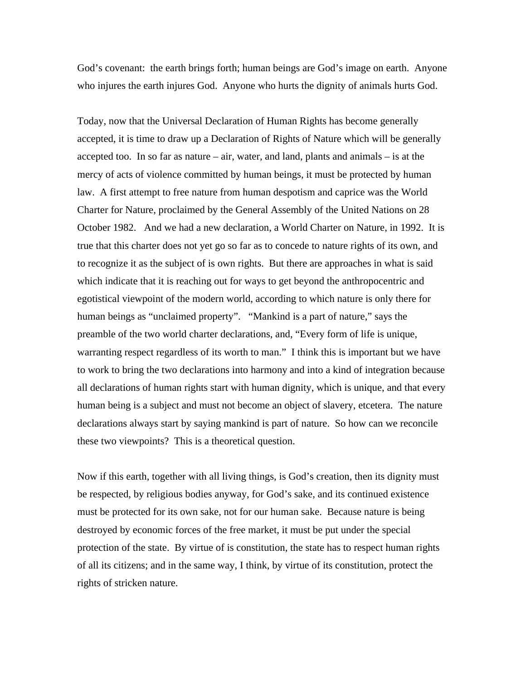God's covenant: the earth brings forth; human beings are God's image on earth. Anyone who injures the earth injures God. Anyone who hurts the dignity of animals hurts God.

Today, now that the Universal Declaration of Human Rights has become generally accepted, it is time to draw up a Declaration of Rights of Nature which will be generally accepted too. In so far as nature – air, water, and land, plants and animals – is at the mercy of acts of violence committed by human beings, it must be protected by human law. A first attempt to free nature from human despotism and caprice was the World Charter for Nature, proclaimed by the General Assembly of the United Nations on 28 October 1982. And we had a new declaration, a World Charter on Nature, in 1992. It is true that this charter does not yet go so far as to concede to nature rights of its own, and to recognize it as the subject of is own rights. But there are approaches in what is said which indicate that it is reaching out for ways to get beyond the anthropocentric and egotistical viewpoint of the modern world, according to which nature is only there for human beings as "unclaimed property". "Mankind is a part of nature," says the preamble of the two world charter declarations, and, "Every form of life is unique, warranting respect regardless of its worth to man." I think this is important but we have to work to bring the two declarations into harmony and into a kind of integration because all declarations of human rights start with human dignity, which is unique, and that every human being is a subject and must not become an object of slavery, etcetera. The nature declarations always start by saying mankind is part of nature. So how can we reconcile these two viewpoints? This is a theoretical question.

Now if this earth, together with all living things, is God's creation, then its dignity must be respected, by religious bodies anyway, for God's sake, and its continued existence must be protected for its own sake, not for our human sake. Because nature is being destroyed by economic forces of the free market, it must be put under the special protection of the state. By virtue of is constitution, the state has to respect human rights of all its citizens; and in the same way, I think, by virtue of its constitution, protect the rights of stricken nature.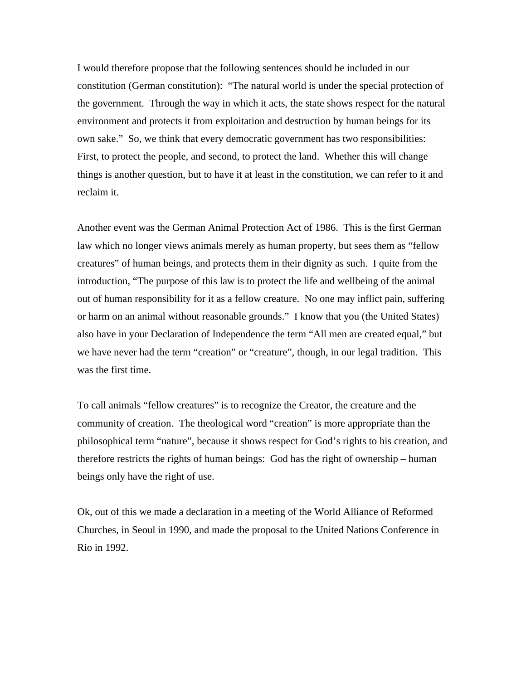I would therefore propose that the following sentences should be included in our constitution (German constitution): "The natural world is under the special protection of the government. Through the way in which it acts, the state shows respect for the natural environment and protects it from exploitation and destruction by human beings for its own sake." So, we think that every democratic government has two responsibilities: First, to protect the people, and second, to protect the land. Whether this will change things is another question, but to have it at least in the constitution, we can refer to it and reclaim it.

Another event was the German Animal Protection Act of 1986. This is the first German law which no longer views animals merely as human property, but sees them as "fellow creatures" of human beings, and protects them in their dignity as such. I quite from the introduction, "The purpose of this law is to protect the life and wellbeing of the animal out of human responsibility for it as a fellow creature. No one may inflict pain, suffering or harm on an animal without reasonable grounds." I know that you (the United States) also have in your Declaration of Independence the term "All men are created equal," but we have never had the term "creation" or "creature", though, in our legal tradition. This was the first time.

To call animals "fellow creatures" is to recognize the Creator, the creature and the community of creation. The theological word "creation" is more appropriate than the philosophical term "nature", because it shows respect for God's rights to his creation, and therefore restricts the rights of human beings: God has the right of ownership – human beings only have the right of use.

Ok, out of this we made a declaration in a meeting of the World Alliance of Reformed Churches, in Seoul in 1990, and made the proposal to the United Nations Conference in Rio in 1992.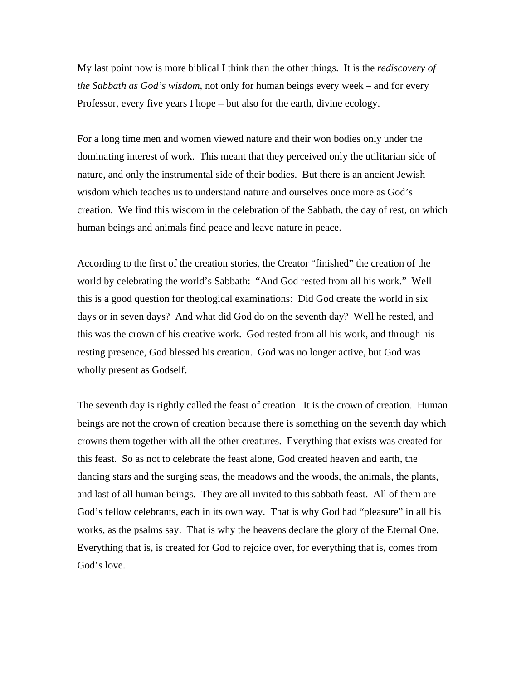My last point now is more biblical I think than the other things. It is the *rediscovery of the Sabbath as God's wisdom*, not only for human beings every week – and for every Professor, every five years I hope – but also for the earth, divine ecology.

For a long time men and women viewed nature and their won bodies only under the dominating interest of work. This meant that they perceived only the utilitarian side of nature, and only the instrumental side of their bodies. But there is an ancient Jewish wisdom which teaches us to understand nature and ourselves once more as God's creation. We find this wisdom in the celebration of the Sabbath, the day of rest, on which human beings and animals find peace and leave nature in peace.

According to the first of the creation stories, the Creator "finished" the creation of the world by celebrating the world's Sabbath: "And God rested from all his work." Well this is a good question for theological examinations: Did God create the world in six days or in seven days? And what did God do on the seventh day? Well he rested, and this was the crown of his creative work. God rested from all his work, and through his resting presence, God blessed his creation. God was no longer active, but God was wholly present as Godself.

The seventh day is rightly called the feast of creation. It is the crown of creation. Human beings are not the crown of creation because there is something on the seventh day which crowns them together with all the other creatures. Everything that exists was created for this feast. So as not to celebrate the feast alone, God created heaven and earth, the dancing stars and the surging seas, the meadows and the woods, the animals, the plants, and last of all human beings. They are all invited to this sabbath feast. All of them are God's fellow celebrants, each in its own way. That is why God had "pleasure" in all his works, as the psalms say. That is why the heavens declare the glory of the Eternal One. Everything that is, is created for God to rejoice over, for everything that is, comes from God's love.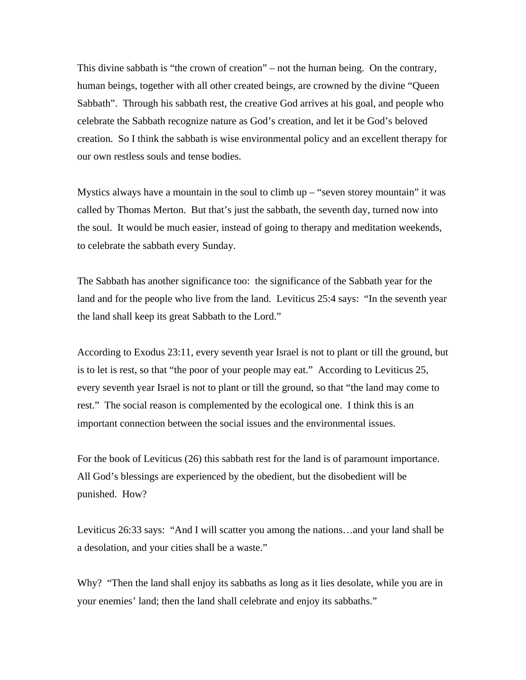This divine sabbath is "the crown of creation" – not the human being. On the contrary, human beings, together with all other created beings, are crowned by the divine "Queen Sabbath". Through his sabbath rest, the creative God arrives at his goal, and people who celebrate the Sabbath recognize nature as God's creation, and let it be God's beloved creation. So I think the sabbath is wise environmental policy and an excellent therapy for our own restless souls and tense bodies.

Mystics always have a mountain in the soul to climb up – "seven storey mountain" it was called by Thomas Merton. But that's just the sabbath, the seventh day, turned now into the soul. It would be much easier, instead of going to therapy and meditation weekends, to celebrate the sabbath every Sunday.

The Sabbath has another significance too: the significance of the Sabbath year for the land and for the people who live from the land. Leviticus 25:4 says: "In the seventh year the land shall keep its great Sabbath to the Lord."

According to Exodus 23:11, every seventh year Israel is not to plant or till the ground, but is to let is rest, so that "the poor of your people may eat." According to Leviticus 25, every seventh year Israel is not to plant or till the ground, so that "the land may come to rest." The social reason is complemented by the ecological one. I think this is an important connection between the social issues and the environmental issues.

For the book of Leviticus (26) this sabbath rest for the land is of paramount importance. All God's blessings are experienced by the obedient, but the disobedient will be punished. How?

Leviticus 26:33 says: "And I will scatter you among the nations…and your land shall be a desolation, and your cities shall be a waste."

Why? "Then the land shall enjoy its sabbaths as long as it lies desolate, while you are in your enemies' land; then the land shall celebrate and enjoy its sabbaths."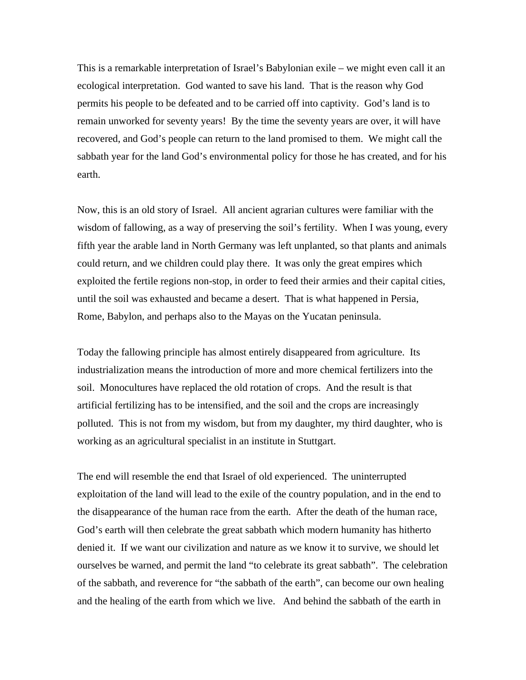This is a remarkable interpretation of Israel's Babylonian exile – we might even call it an ecological interpretation. God wanted to save his land. That is the reason why God permits his people to be defeated and to be carried off into captivity. God's land is to remain unworked for seventy years! By the time the seventy years are over, it will have recovered, and God's people can return to the land promised to them. We might call the sabbath year for the land God's environmental policy for those he has created, and for his earth.

Now, this is an old story of Israel. All ancient agrarian cultures were familiar with the wisdom of fallowing, as a way of preserving the soil's fertility. When I was young, every fifth year the arable land in North Germany was left unplanted, so that plants and animals could return, and we children could play there. It was only the great empires which exploited the fertile regions non-stop, in order to feed their armies and their capital cities, until the soil was exhausted and became a desert. That is what happened in Persia, Rome, Babylon, and perhaps also to the Mayas on the Yucatan peninsula.

Today the fallowing principle has almost entirely disappeared from agriculture. Its industrialization means the introduction of more and more chemical fertilizers into the soil. Monocultures have replaced the old rotation of crops. And the result is that artificial fertilizing has to be intensified, and the soil and the crops are increasingly polluted. This is not from my wisdom, but from my daughter, my third daughter, who is working as an agricultural specialist in an institute in Stuttgart.

The end will resemble the end that Israel of old experienced. The uninterrupted exploitation of the land will lead to the exile of the country population, and in the end to the disappearance of the human race from the earth. After the death of the human race, God's earth will then celebrate the great sabbath which modern humanity has hitherto denied it. If we want our civilization and nature as we know it to survive, we should let ourselves be warned, and permit the land "to celebrate its great sabbath". The celebration of the sabbath, and reverence for "the sabbath of the earth", can become our own healing and the healing of the earth from which we live. And behind the sabbath of the earth in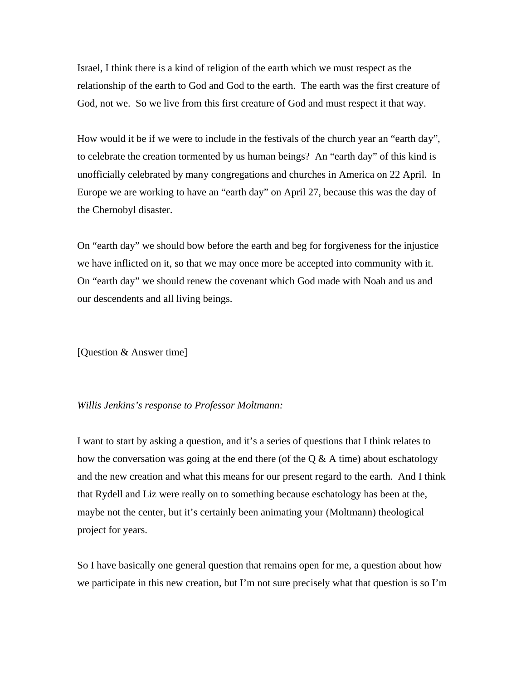Israel, I think there is a kind of religion of the earth which we must respect as the relationship of the earth to God and God to the earth. The earth was the first creature of God, not we. So we live from this first creature of God and must respect it that way.

How would it be if we were to include in the festivals of the church year an "earth day", to celebrate the creation tormented by us human beings? An "earth day" of this kind is unofficially celebrated by many congregations and churches in America on 22 April. In Europe we are working to have an "earth day" on April 27, because this was the day of the Chernobyl disaster.

On "earth day" we should bow before the earth and beg for forgiveness for the injustice we have inflicted on it, so that we may once more be accepted into community with it. On "earth day" we should renew the covenant which God made with Noah and us and our descendents and all living beings.

[Question & Answer time]

## *Willis Jenkins's response to Professor Moltmann:*

I want to start by asking a question, and it's a series of questions that I think relates to how the conversation was going at the end there (of the  $\alpha \& A$  time) about eschatology and the new creation and what this means for our present regard to the earth. And I think that Rydell and Liz were really on to something because eschatology has been at the, maybe not the center, but it's certainly been animating your (Moltmann) theological project for years.

So I have basically one general question that remains open for me, a question about how we participate in this new creation, but I'm not sure precisely what that question is so I'm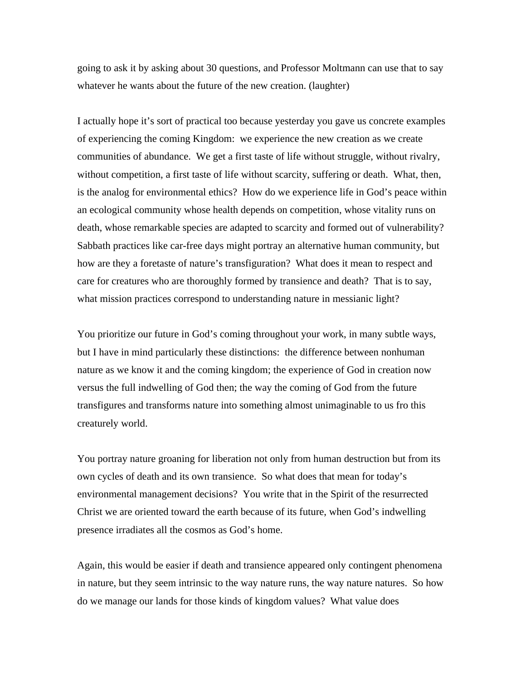going to ask it by asking about 30 questions, and Professor Moltmann can use that to say whatever he wants about the future of the new creation. (laughter)

I actually hope it's sort of practical too because yesterday you gave us concrete examples of experiencing the coming Kingdom: we experience the new creation as we create communities of abundance. We get a first taste of life without struggle, without rivalry, without competition, a first taste of life without scarcity, suffering or death. What, then, is the analog for environmental ethics? How do we experience life in God's peace within an ecological community whose health depends on competition, whose vitality runs on death, whose remarkable species are adapted to scarcity and formed out of vulnerability? Sabbath practices like car-free days might portray an alternative human community, but how are they a foretaste of nature's transfiguration? What does it mean to respect and care for creatures who are thoroughly formed by transience and death? That is to say, what mission practices correspond to understanding nature in messianic light?

You prioritize our future in God's coming throughout your work, in many subtle ways, but I have in mind particularly these distinctions: the difference between nonhuman nature as we know it and the coming kingdom; the experience of God in creation now versus the full indwelling of God then; the way the coming of God from the future transfigures and transforms nature into something almost unimaginable to us fro this creaturely world.

You portray nature groaning for liberation not only from human destruction but from its own cycles of death and its own transience. So what does that mean for today's environmental management decisions? You write that in the Spirit of the resurrected Christ we are oriented toward the earth because of its future, when God's indwelling presence irradiates all the cosmos as God's home.

Again, this would be easier if death and transience appeared only contingent phenomena in nature, but they seem intrinsic to the way nature runs, the way nature natures. So how do we manage our lands for those kinds of kingdom values? What value does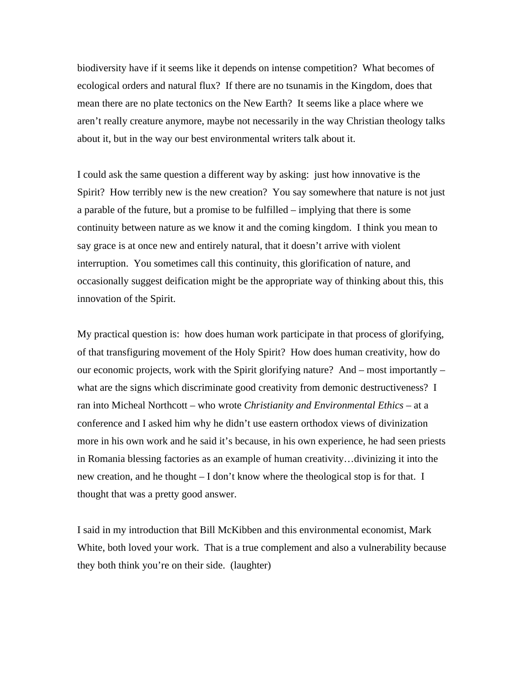biodiversity have if it seems like it depends on intense competition? What becomes of ecological orders and natural flux? If there are no tsunamis in the Kingdom, does that mean there are no plate tectonics on the New Earth? It seems like a place where we aren't really creature anymore, maybe not necessarily in the way Christian theology talks about it, but in the way our best environmental writers talk about it.

I could ask the same question a different way by asking: just how innovative is the Spirit? How terribly new is the new creation? You say somewhere that nature is not just a parable of the future, but a promise to be fulfilled – implying that there is some continuity between nature as we know it and the coming kingdom. I think you mean to say grace is at once new and entirely natural, that it doesn't arrive with violent interruption. You sometimes call this continuity, this glorification of nature, and occasionally suggest deification might be the appropriate way of thinking about this, this innovation of the Spirit.

My practical question is: how does human work participate in that process of glorifying, of that transfiguring movement of the Holy Spirit? How does human creativity, how do our economic projects, work with the Spirit glorifying nature? And – most importantly – what are the signs which discriminate good creativity from demonic destructiveness? I ran into Micheal Northcott – who wrote *Christianity and Environmental Ethics* – at a conference and I asked him why he didn't use eastern orthodox views of divinization more in his own work and he said it's because, in his own experience, he had seen priests in Romania blessing factories as an example of human creativity…divinizing it into the new creation, and he thought – I don't know where the theological stop is for that. I thought that was a pretty good answer.

I said in my introduction that Bill McKibben and this environmental economist, Mark White, both loved your work. That is a true complement and also a vulnerability because they both think you're on their side. (laughter)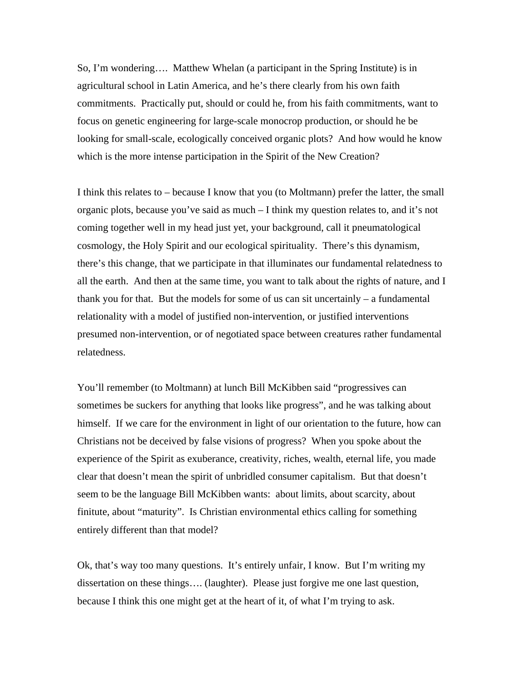So, I'm wondering…. Matthew Whelan (a participant in the Spring Institute) is in agricultural school in Latin America, and he's there clearly from his own faith commitments. Practically put, should or could he, from his faith commitments, want to focus on genetic engineering for large-scale monocrop production, or should he be looking for small-scale, ecologically conceived organic plots? And how would he know which is the more intense participation in the Spirit of the New Creation?

I think this relates to – because I know that you (to Moltmann) prefer the latter, the small organic plots, because you've said as much – I think my question relates to, and it's not coming together well in my head just yet, your background, call it pneumatological cosmology, the Holy Spirit and our ecological spirituality. There's this dynamism, there's this change, that we participate in that illuminates our fundamental relatedness to all the earth. And then at the same time, you want to talk about the rights of nature, and I thank you for that. But the models for some of us can sit uncertainly  $-$  a fundamental relationality with a model of justified non-intervention, or justified interventions presumed non-intervention, or of negotiated space between creatures rather fundamental relatedness.

You'll remember (to Moltmann) at lunch Bill McKibben said "progressives can sometimes be suckers for anything that looks like progress", and he was talking about himself. If we care for the environment in light of our orientation to the future, how can Christians not be deceived by false visions of progress? When you spoke about the experience of the Spirit as exuberance, creativity, riches, wealth, eternal life, you made clear that doesn't mean the spirit of unbridled consumer capitalism. But that doesn't seem to be the language Bill McKibben wants: about limits, about scarcity, about finitute, about "maturity". Is Christian environmental ethics calling for something entirely different than that model?

Ok, that's way too many questions. It's entirely unfair, I know. But I'm writing my dissertation on these things…. (laughter). Please just forgive me one last question, because I think this one might get at the heart of it, of what I'm trying to ask.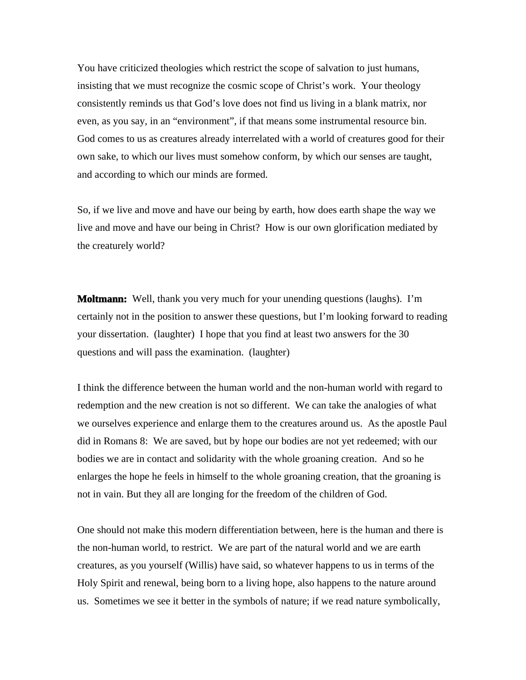You have criticized theologies which restrict the scope of salvation to just humans, insisting that we must recognize the cosmic scope of Christ's work. Your theology consistently reminds us that God's love does not find us living in a blank matrix, nor even, as you say, in an "environment", if that means some instrumental resource bin. God comes to us as creatures already interrelated with a world of creatures good for their own sake, to which our lives must somehow conform, by which our senses are taught, and according to which our minds are formed.

So, if we live and move and have our being by earth, how does earth shape the way we live and move and have our being in Christ? How is our own glorification mediated by the creaturely world?

**Moltmann:** Well, thank you very much for your unending questions (laughs). I'm certainly not in the position to answer these questions, but I'm looking forward to reading your dissertation. (laughter) I hope that you find at least two answers for the 30 questions and will pass the examination. (laughter)

I think the difference between the human world and the non-human world with regard to redemption and the new creation is not so different. We can take the analogies of what we ourselves experience and enlarge them to the creatures around us. As the apostle Paul did in Romans 8: We are saved, but by hope our bodies are not yet redeemed; with our bodies we are in contact and solidarity with the whole groaning creation. And so he enlarges the hope he feels in himself to the whole groaning creation, that the groaning is not in vain. But they all are longing for the freedom of the children of God.

One should not make this modern differentiation between, here is the human and there is the non-human world, to restrict. We are part of the natural world and we are earth creatures, as you yourself (Willis) have said, so whatever happens to us in terms of the Holy Spirit and renewal, being born to a living hope, also happens to the nature around us. Sometimes we see it better in the symbols of nature; if we read nature symbolically,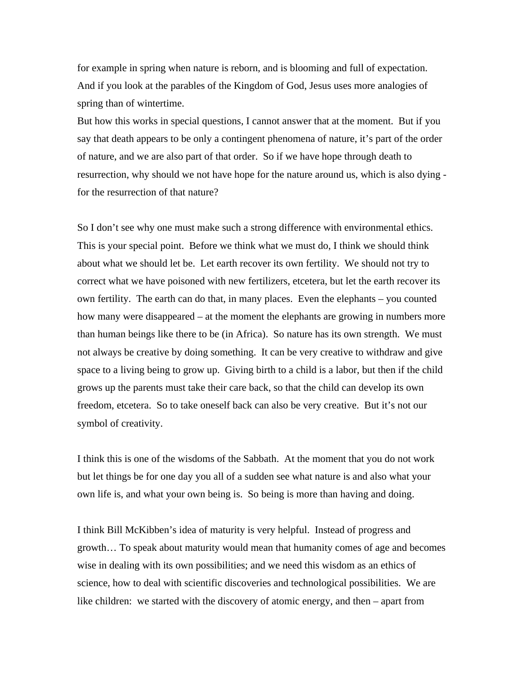for example in spring when nature is reborn, and is blooming and full of expectation. And if you look at the parables of the Kingdom of God, Jesus uses more analogies of spring than of wintertime.

But how this works in special questions, I cannot answer that at the moment. But if you say that death appears to be only a contingent phenomena of nature, it's part of the order of nature, and we are also part of that order. So if we have hope through death to resurrection, why should we not have hope for the nature around us, which is also dying for the resurrection of that nature?

So I don't see why one must make such a strong difference with environmental ethics. This is your special point. Before we think what we must do, I think we should think about what we should let be. Let earth recover its own fertility. We should not try to correct what we have poisoned with new fertilizers, etcetera, but let the earth recover its own fertility. The earth can do that, in many places. Even the elephants – you counted how many were disappeared – at the moment the elephants are growing in numbers more than human beings like there to be (in Africa). So nature has its own strength. We must not always be creative by doing something. It can be very creative to withdraw and give space to a living being to grow up. Giving birth to a child is a labor, but then if the child grows up the parents must take their care back, so that the child can develop its own freedom, etcetera. So to take oneself back can also be very creative. But it's not our symbol of creativity.

I think this is one of the wisdoms of the Sabbath. At the moment that you do not work but let things be for one day you all of a sudden see what nature is and also what your own life is, and what your own being is. So being is more than having and doing.

I think Bill McKibben's idea of maturity is very helpful. Instead of progress and growth… To speak about maturity would mean that humanity comes of age and becomes wise in dealing with its own possibilities; and we need this wisdom as an ethics of science, how to deal with scientific discoveries and technological possibilities. We are like children: we started with the discovery of atomic energy, and then – apart from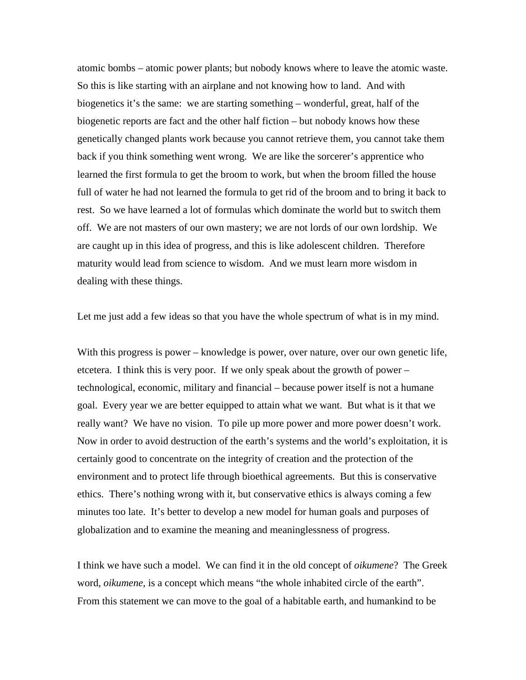atomic bombs – atomic power plants; but nobody knows where to leave the atomic waste. So this is like starting with an airplane and not knowing how to land. And with biogenetics it's the same: we are starting something – wonderful, great, half of the biogenetic reports are fact and the other half fiction – but nobody knows how these genetically changed plants work because you cannot retrieve them, you cannot take them back if you think something went wrong. We are like the sorcerer's apprentice who learned the first formula to get the broom to work, but when the broom filled the house full of water he had not learned the formula to get rid of the broom and to bring it back to rest. So we have learned a lot of formulas which dominate the world but to switch them off. We are not masters of our own mastery; we are not lords of our own lordship. We are caught up in this idea of progress, and this is like adolescent children. Therefore maturity would lead from science to wisdom. And we must learn more wisdom in dealing with these things.

Let me just add a few ideas so that you have the whole spectrum of what is in my mind.

With this progress is power – knowledge is power, over nature, over our own genetic life, etcetera. I think this is very poor. If we only speak about the growth of power – technological, economic, military and financial – because power itself is not a humane goal. Every year we are better equipped to attain what we want. But what is it that we really want? We have no vision. To pile up more power and more power doesn't work. Now in order to avoid destruction of the earth's systems and the world's exploitation, it is certainly good to concentrate on the integrity of creation and the protection of the environment and to protect life through bioethical agreements. But this is conservative ethics. There's nothing wrong with it, but conservative ethics is always coming a few minutes too late. It's better to develop a new model for human goals and purposes of globalization and to examine the meaning and meaninglessness of progress.

I think we have such a model. We can find it in the old concept of *oikumene*? The Greek word, *oikumene*, is a concept which means "the whole inhabited circle of the earth". From this statement we can move to the goal of a habitable earth, and humankind to be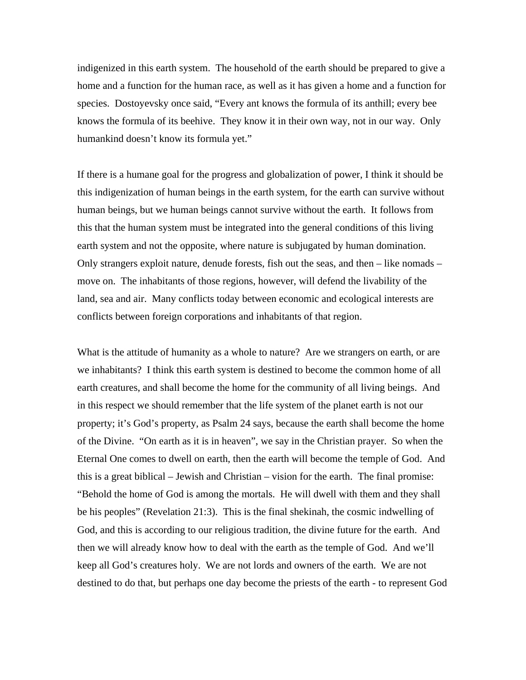indigenized in this earth system. The household of the earth should be prepared to give a home and a function for the human race, as well as it has given a home and a function for species. Dostoyevsky once said, "Every ant knows the formula of its anthill; every bee knows the formula of its beehive. They know it in their own way, not in our way. Only humankind doesn't know its formula yet."

If there is a humane goal for the progress and globalization of power, I think it should be this indigenization of human beings in the earth system, for the earth can survive without human beings, but we human beings cannot survive without the earth. It follows from this that the human system must be integrated into the general conditions of this living earth system and not the opposite, where nature is subjugated by human domination. Only strangers exploit nature, denude forests, fish out the seas, and then – like nomads – move on. The inhabitants of those regions, however, will defend the livability of the land, sea and air. Many conflicts today between economic and ecological interests are conflicts between foreign corporations and inhabitants of that region.

What is the attitude of humanity as a whole to nature? Are we strangers on earth, or are we inhabitants? I think this earth system is destined to become the common home of all earth creatures, and shall become the home for the community of all living beings. And in this respect we should remember that the life system of the planet earth is not our property; it's God's property, as Psalm 24 says, because the earth shall become the home of the Divine. "On earth as it is in heaven", we say in the Christian prayer. So when the Eternal One comes to dwell on earth, then the earth will become the temple of God. And this is a great biblical – Jewish and Christian – vision for the earth. The final promise: "Behold the home of God is among the mortals. He will dwell with them and they shall be his peoples" (Revelation 21:3). This is the final shekinah, the cosmic indwelling of God, and this is according to our religious tradition, the divine future for the earth. And then we will already know how to deal with the earth as the temple of God. And we'll keep all God's creatures holy. We are not lords and owners of the earth. We are not destined to do that, but perhaps one day become the priests of the earth - to represent God